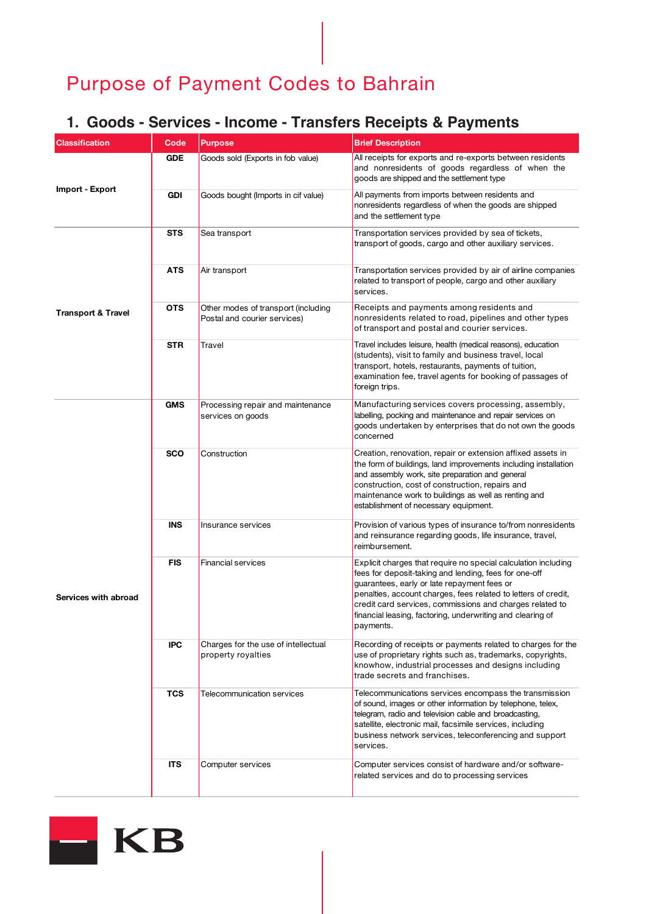#### **1. Goods - Services - Income - Transfers Receipts & Payments**

| <b>Classification</b>         | Code       | <b>Purpose</b>                                                      | <b>Brief Description</b>                                                                                                                                                                                                                                                                                                                                                        |
|-------------------------------|------------|---------------------------------------------------------------------|---------------------------------------------------------------------------------------------------------------------------------------------------------------------------------------------------------------------------------------------------------------------------------------------------------------------------------------------------------------------------------|
| Import - Export               | <b>GDE</b> | Goods sold (Exports in fob value)                                   | All receipts for exports and re-exports between residents<br>and nonresidents of goods regardless of when the<br>goods are shipped and the settlement type                                                                                                                                                                                                                      |
|                               | <b>GDI</b> | Goods bought (Imports in cif value)                                 | All payments from imports between residents and<br>nonresidents regardless of when the goods are shipped<br>and the settlement type                                                                                                                                                                                                                                             |
| <b>Transport &amp; Travel</b> | <b>STS</b> | Sea transport                                                       | Transportation services provided by sea of tickets,<br>transport of goods, cargo and other auxiliary services.                                                                                                                                                                                                                                                                  |
|                               | ATS        | Air transport                                                       | Transportation services provided by air of airline companies<br>related to transport of people, cargo and other auxiliary<br>services.                                                                                                                                                                                                                                          |
|                               | <b>OTS</b> | Other modes of transport (including<br>Postal and courier services) | Receipts and payments among residents and<br>nonresidents related to road, pipelines and other types<br>of transport and postal and courier services.                                                                                                                                                                                                                           |
|                               | <b>STR</b> | Travel                                                              | Travel includes leisure, health (medical reasons), education<br>(students), visit to family and business travel, local<br>transport, hotels, restaurants, payments of tuition,<br>examination fee, travel agents for booking of passages of<br>foreign trips.                                                                                                                   |
| Services with abroad          | <b>GMS</b> | Processing repair and maintenance<br>services on goods              | Manufacturing services covers processing, assembly,<br>labelling, pocking and maintenance and repair services on<br>goods undertaken by enterprises that do not own the goods<br>concerned                                                                                                                                                                                      |
|                               | <b>SCO</b> | Construction                                                        | Creation, renovation, repair or extension affixed assets in<br>the form of buildings, land improvements including installation<br>and assembly work, site preparation and general<br>construction, cost of construction, repairs and<br>maintenance work to buildings as well as renting and<br>establishment of necessary equipment.                                           |
|                               | <b>INS</b> | Insurance services                                                  | Provision of various types of insurance to/from nonresidents<br>and reinsurance regarding goods, life insurance, travel,<br>reimbursement.                                                                                                                                                                                                                                      |
|                               | <b>FIS</b> | <b>Financial services</b>                                           | Explicit charges that require no special calculation including<br>fees for deposit-taking and lending, fees for one-off<br>guarantees, early or late repayment fees or<br>penalties, account charges, fees related to letters of credit,<br>credit card services, commissions and charges related to<br>financial leasing, factoring, underwriting and clearing of<br>payments. |
|                               | <b>IPC</b> | Charges for the use of intellectual<br>property royalties           | Recording of receipts or payments related to charges for the<br>use of proprietary rights such as, trademarks, copyrights,<br>knowhow, industrial processes and designs including<br>trade secrets and franchises.                                                                                                                                                              |
|                               | <b>TCS</b> | Telecommunication services                                          | Telecommunications services encompass the transmission<br>of sound, images or other information by telephone, telex,<br>telegram, radio and television cable and broadcasting,<br>satellite, electronic mail, facsimile services, including<br>business network services, teleconferencing and support<br>services.                                                             |
|                               | <b>ITS</b> | Computer services                                                   | Computer services consist of hardware and/or software-<br>related services and do to processing services                                                                                                                                                                                                                                                                        |

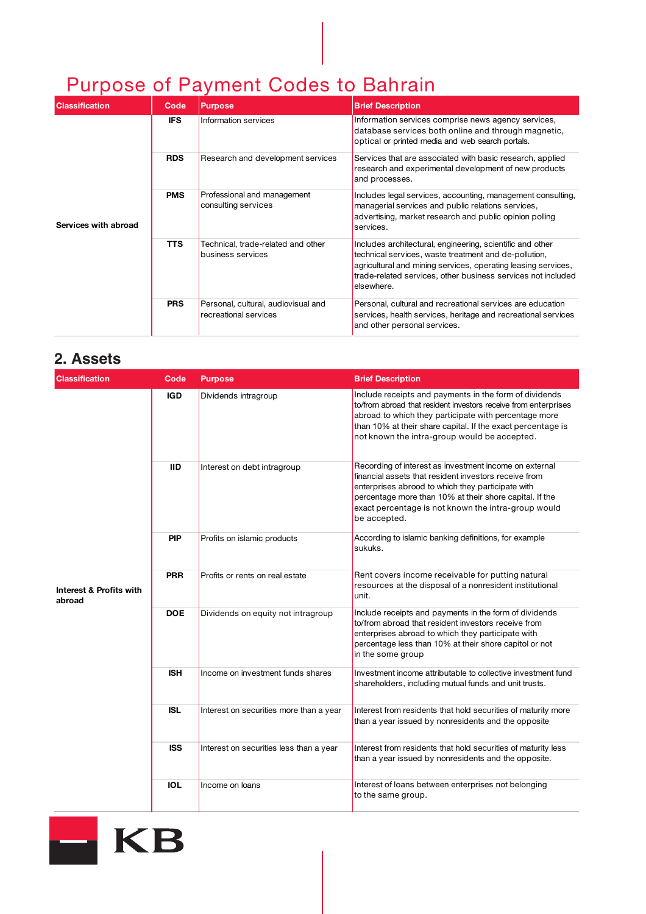| <b>Classification</b> | Code       | <b>Purpose</b>                                               | <b>Brief Description</b>                                                                                                                                                                                                                                          |
|-----------------------|------------|--------------------------------------------------------------|-------------------------------------------------------------------------------------------------------------------------------------------------------------------------------------------------------------------------------------------------------------------|
| Services with abroad  | <b>IFS</b> | Information services                                         | Information services comprise news agency services,<br>database services both online and through magnetic,<br>optical or printed media and web search portals.                                                                                                    |
|                       | <b>RDS</b> | Research and development services                            | Services that are associated with basic research, applied<br>research and experimental development of new products<br>and processes.                                                                                                                              |
|                       | <b>PMS</b> | Professional and management<br>consulting services           | Includes legal services, accounting, management consulting,<br>managerial services and public relations services,<br>advertising, market research and public opinion polling<br>services.                                                                         |
|                       | <b>TTS</b> | Technical, trade-related and other<br>business services      | Includes architectural, engineering, scientific and other<br>technical services, waste treatment and de-pollution,<br>agricultural and mining services, operating leasing services,<br>trade-related services, other business services not included<br>elsewhere. |
|                       | <b>PRS</b> | Personal, cultural, audiovisual and<br>recreational services | Personal, cultural and recreational services are education<br>services, health services, heritage and recreational services<br>and other personal services.                                                                                                       |

#### **2. Assets**

| <b>Classification</b>             | Code       | <b>Purpose</b>                          | <b>Brief Description</b>                                                                                                                                                                                                                                                                               |
|-----------------------------------|------------|-----------------------------------------|--------------------------------------------------------------------------------------------------------------------------------------------------------------------------------------------------------------------------------------------------------------------------------------------------------|
| Interest & Profits with<br>abroad | <b>IGD</b> | Dividends intragroup                    | Include receipts and payments in the form of dividends<br>to/from abroad that resident investors receive from enterprises<br>abroad to which they participate with percentage more<br>than 10% at their share capital. If the exact percentage is<br>not known the intra-group would be accepted.      |
|                                   | <b>IID</b> | Interest on debt intragroup             | Recording of interest as investment income on external<br>financial assets that resident investors receive from<br>enterprises abrood to which they participate with<br>percentage more than 10% at their shore capital. If the<br>exact percentage is not known the intra-group would<br>be accepted. |
|                                   | <b>PIP</b> | Profits on islamic products             | According to islamic banking definitions, for example<br>sukuks.                                                                                                                                                                                                                                       |
|                                   | <b>PRR</b> | Profits or rents on real estate         | Rent covers income receivable for putting natural<br>resources at the disposal of a nonresident institutional<br>unit.                                                                                                                                                                                 |
|                                   | <b>DOE</b> | Dividends on equity not intragroup      | Include receipts and payments in the form of dividends<br>to/from abroad that resident investors receive from<br>enterprises abroad to which they participate with<br>percentage less than 10% at their shore capitol or not<br>in the some group                                                      |
|                                   | <b>ISH</b> | Income on investment funds shares       | Investment income attributable to collective investment fund<br>shareholders, including mutual funds and unit trusts.                                                                                                                                                                                  |
|                                   | <b>ISL</b> | Interest on securities more than a year | Interest from residents that hold securities of maturity more<br>than a year issued by nonresidents and the opposite                                                                                                                                                                                   |
|                                   | <b>ISS</b> | Interest on securities less than a year | Interest from residents that hold securities of maturity less<br>than a year issued by nonresidents and the opposite.                                                                                                                                                                                  |
|                                   | <b>IOL</b> | Income on loans                         | Interest of loans between enterprises not belonging<br>to the same group.                                                                                                                                                                                                                              |

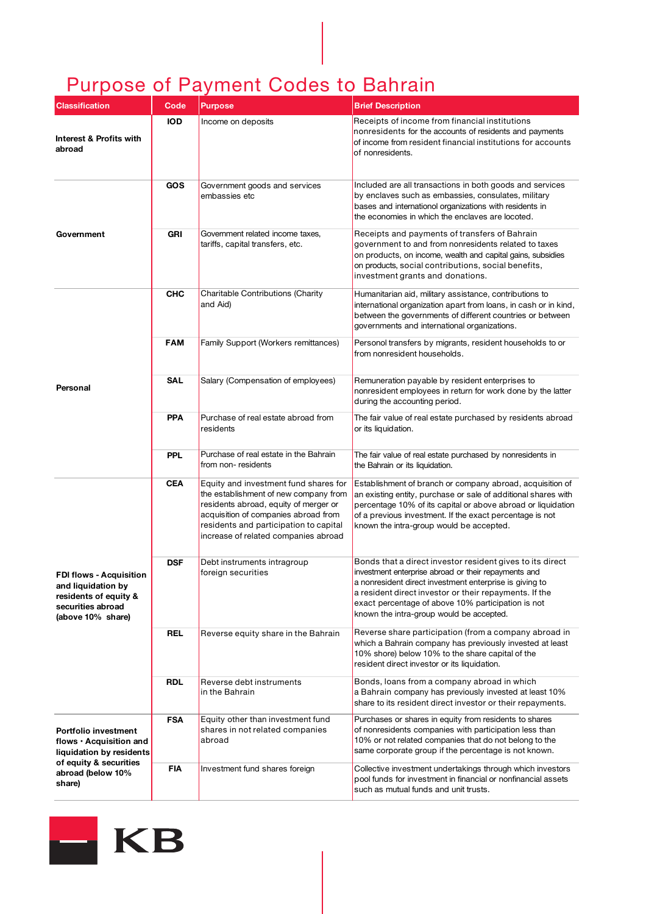| <b>Classification</b>                                                                                                                | Code       | <b>Purpose</b>                                                                                                                                                                                                                                    | <b>Brief Description</b>                                                                                                                                                                                                                                                                                                                 |
|--------------------------------------------------------------------------------------------------------------------------------------|------------|---------------------------------------------------------------------------------------------------------------------------------------------------------------------------------------------------------------------------------------------------|------------------------------------------------------------------------------------------------------------------------------------------------------------------------------------------------------------------------------------------------------------------------------------------------------------------------------------------|
| Interest & Profits with<br>abroad                                                                                                    | <b>IOD</b> | Income on deposits                                                                                                                                                                                                                                | Receipts of income from financial institutions<br>nonresidents for the accounts of residents and payments<br>of income from resident financial institutions for accounts<br>of nonresidents.                                                                                                                                             |
|                                                                                                                                      | <b>GOS</b> | Government goods and services<br>embassies etc                                                                                                                                                                                                    | Included are all transactions in both goods and services<br>by enclaves such as embassies, consulates, military<br>bases and internationol organizations with residents in<br>the economies in which the enclaves are locoted.                                                                                                           |
| Government                                                                                                                           | <b>GRI</b> | Government related income taxes,<br>tariffs, capital transfers, etc.                                                                                                                                                                              | Receipts and payments of transfers of Bahrain<br>government to and from nonresidents related to taxes<br>on products, on income, wealth and capital gains, subsidies<br>on products, social contributions, social benefits,<br>investment grants and donations.                                                                          |
| <b>Personal</b>                                                                                                                      | <b>CHC</b> | Charitable Contributions (Charity<br>and Aid)                                                                                                                                                                                                     | Humanitarian aid, military assistance, contributions to<br>international organization apart from loans, in cash or in kind,<br>between the governments of different countries or between<br>governments and international organizations.                                                                                                 |
|                                                                                                                                      | <b>FAM</b> | Family Support (Workers remittances)                                                                                                                                                                                                              | Personol transfers by migrants, resident households to or<br>from nonresident households.                                                                                                                                                                                                                                                |
|                                                                                                                                      | SAL        | Salary (Compensation of employees)                                                                                                                                                                                                                | Remuneration payable by resident enterprises to<br>nonresident employees in return for work done by the latter<br>during the accounting period.                                                                                                                                                                                          |
|                                                                                                                                      | <b>PPA</b> | Purchase of real estate abroad from<br>residents                                                                                                                                                                                                  | The fair value of real estate purchased by residents abroad<br>or its liquidation.                                                                                                                                                                                                                                                       |
|                                                                                                                                      | <b>PPL</b> | Purchase of real estate in the Bahrain<br>from non-residents                                                                                                                                                                                      | The fair value of real estate purchased by nonresidents in<br>the Bahrain or its liquidation.                                                                                                                                                                                                                                            |
| <b>FDI flows - Acquisition</b><br>and liquidation by<br>residents of equity &<br>securities abroad<br>(above 10% share)              | <b>CEA</b> | Equity and investment fund shares for<br>the establishment of new company from<br>residents abroad, equity of merger or<br>acquisition of companies abroad from<br>residents and participation to capital<br>increase of related companies abroad | Establishment of branch or company abroad, acquisition of<br>an existing entity, purchase or sale of additional shares with<br>percentage 10% of its capital or above abroad or liquidation<br>of a previous investment. If the exact percentage is not<br>known the intra-group would be accepted.                                      |
|                                                                                                                                      | <b>DSF</b> | Debt instruments intragroup<br>foreign securities                                                                                                                                                                                                 | Bonds that a direct investor resident gives to its direct<br>investment enterprise abroad or their repayments and<br>a nonresident direct investment enterprise is giving to<br>a resident direct investor or their repayments. If the<br>exact percentage of above 10% participation is not<br>known the intra-group would be accepted. |
|                                                                                                                                      | <b>REL</b> | Reverse equity share in the Bahrain                                                                                                                                                                                                               | Reverse share participation (from a company abroad in<br>which a Bahrain company has previously invested at least<br>10% shore) below 10% to the share capital of the<br>resident direct investor or its liquidation.                                                                                                                    |
|                                                                                                                                      | <b>RDL</b> | Reverse debt instruments<br>in the Bahrain                                                                                                                                                                                                        | Bonds, loans from a company abroad in which<br>a Bahrain company has previously invested at least 10%<br>share to its resident direct investor or their repayments.                                                                                                                                                                      |
| Portfolio investment<br>flows · Acquisition and<br>liquidation by residents<br>of equity & securities<br>abroad (below 10%<br>share) | <b>FSA</b> | Equity other than investment fund<br>shares in not related companies<br>abroad                                                                                                                                                                    | Purchases or shares in equity from residents to shares<br>of nonresidents companies with participation less than<br>10% or not related companies that do not belong to the<br>same corporate group if the percentage is not known.                                                                                                       |
|                                                                                                                                      | <b>FIA</b> | Investment fund shares foreign                                                                                                                                                                                                                    | Collective investment undertakings through which investors<br>pool funds for investment in financial or nonfinancial assets<br>such as mutual funds and unit trusts.                                                                                                                                                                     |

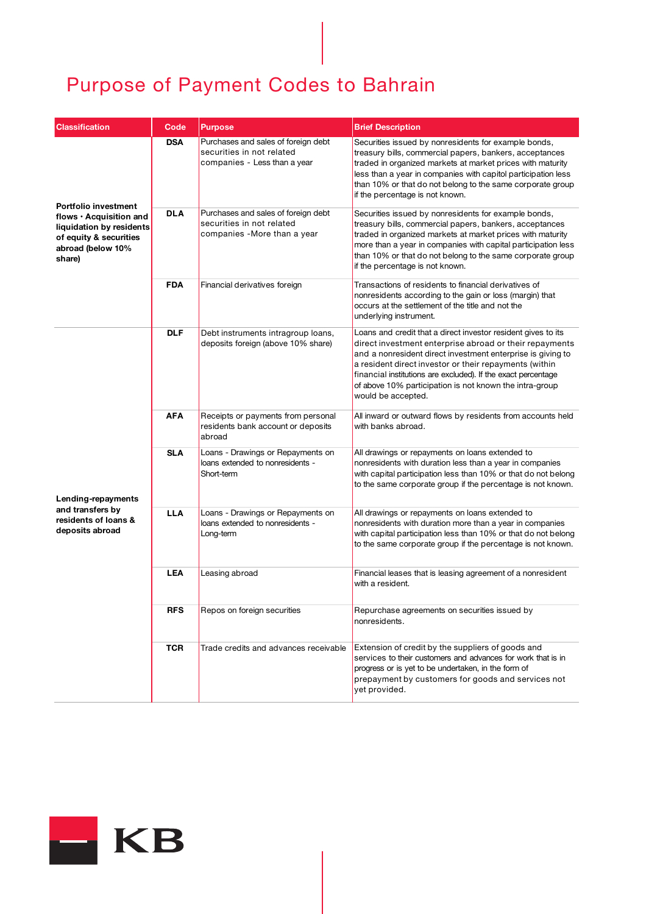| <b>Classification</b>                                                                                                                | Code       | <b>Purpose</b>                                                                                   | <b>Brief Description</b>                                                                                                                                                                                                                                                                                                                                                                            |
|--------------------------------------------------------------------------------------------------------------------------------------|------------|--------------------------------------------------------------------------------------------------|-----------------------------------------------------------------------------------------------------------------------------------------------------------------------------------------------------------------------------------------------------------------------------------------------------------------------------------------------------------------------------------------------------|
| Portfolio investment<br>flows · Acquisition and<br>liquidation by residents<br>of equity & securities<br>abroad (below 10%<br>share) | <b>DSA</b> | Purchases and sales of foreign debt<br>securities in not related<br>companies - Less than a year | Securities issued by nonresidents for example bonds,<br>treasury bills, commercial papers, bankers, acceptances<br>traded in organized markets at market prices with maturity<br>less than a year in companies with capitol participation less<br>than 10% or that do not belong to the same corporate group<br>if the percentage is not known.                                                     |
|                                                                                                                                      | <b>DLA</b> | Purchases and sales of foreign debt<br>securities in not related<br>companies -More than a year  | Securities issued by nonresidents for example bonds,<br>treasury bills, commercial papers, bankers, acceptances<br>traded in organized markets at market prices with maturity<br>more than a year in companies with capital participation less<br>than 10% or that do not belong to the same corporate group<br>if the percentage is not known.                                                     |
|                                                                                                                                      | <b>FDA</b> | Financial derivatives foreign                                                                    | Transactions of residents to financial derivatives of<br>nonresidents according to the gain or loss (margin) that<br>occurs at the settlement of the title and not the<br>underlying instrument.                                                                                                                                                                                                    |
| Lending-repayments<br>and transfers by<br>residents of loans &<br>deposits abroad                                                    | <b>DLF</b> | Debt instruments intragroup loans,<br>deposits foreign (above 10% share)                         | Loans and credit that a direct investor resident gives to its<br>direct investment enterprise abroad or their repayments<br>and a nonresident direct investment enterprise is giving to<br>a resident direct investor or their repayments (within<br>financial institutions are excluded). If the exact percentage<br>of above 10% participation is not known the intra-group<br>would be accepted. |
|                                                                                                                                      | <b>AFA</b> | Receipts or payments from personal<br>residents bank account or deposits<br>abroad               | All inward or outward flows by residents from accounts held<br>with banks abroad.                                                                                                                                                                                                                                                                                                                   |
|                                                                                                                                      | <b>SLA</b> | Loans - Drawings or Repayments on<br>loans extended to nonresidents -<br>Short-term              | All drawings or repayments on loans extended to<br>nonresidents with duration less than a year in companies<br>with capital participation less than 10% or that do not belong<br>to the same corporate group if the percentage is not known.                                                                                                                                                        |
|                                                                                                                                      | <b>LLA</b> | Loans - Drawings or Repayments on<br>loans extended to nonresidents -<br>Long-term               | All drawings or repayments on loans extended to<br>nonresidents with duration more than a year in companies<br>with capital participation less than 10% or that do not belong<br>to the same corporate group if the percentage is not known.                                                                                                                                                        |
|                                                                                                                                      | <b>LEA</b> | Leasing abroad                                                                                   | Financial leases that is leasing agreement of a nonresident<br>with a resident.                                                                                                                                                                                                                                                                                                                     |
|                                                                                                                                      | <b>RFS</b> | Repos on foreign securities                                                                      | Repurchase agreements on securities issued by<br>nonresidents.                                                                                                                                                                                                                                                                                                                                      |
|                                                                                                                                      | <b>TCR</b> | Trade credits and advances receivable                                                            | Extension of credit by the suppliers of goods and<br>services to their customers and advances for work that is in<br>progress or is yet to be undertaken, in the form of<br>prepayment by customers for goods and services not<br>yet provided.                                                                                                                                                     |

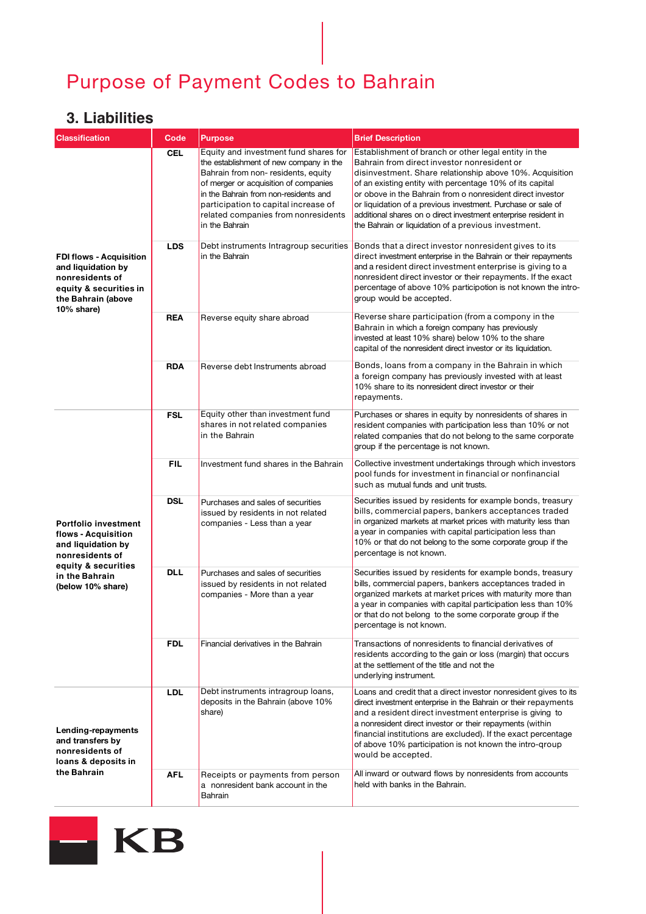#### **3. Liabilities**

| <b>Classification</b>                                                                                                                                     | Code       | <b>Purpose</b>                                                                                                                                                                                                                                                                                             | <b>Brief Description</b>                                                                                                                                                                                                                                                                                                                                                                                                                                                             |
|-----------------------------------------------------------------------------------------------------------------------------------------------------------|------------|------------------------------------------------------------------------------------------------------------------------------------------------------------------------------------------------------------------------------------------------------------------------------------------------------------|--------------------------------------------------------------------------------------------------------------------------------------------------------------------------------------------------------------------------------------------------------------------------------------------------------------------------------------------------------------------------------------------------------------------------------------------------------------------------------------|
| <b>FDI flows - Acquisition</b><br>and liquidation by<br>nonresidents of<br>equity & securities in<br>the Bahrain (above<br>10% share)                     | <b>CEL</b> | Equity and investment fund shares for<br>the establishment of new company in the<br>Bahrain from non- residents, equity<br>of merger or acquisition of companies<br>in the Bahrain from non-residents and<br>participation to capital increase of<br>related companies from nonresidents<br>in the Bahrain | Establishment of branch or other legal entity in the<br>Bahrain from direct investor nonresident or<br>disinvestment. Share relationship above 10%. Acquisition<br>of an existing entity with percentage 10% of its capital<br>or obove in the Bahrain from o nonresident direct investor<br>or liquidation of a previous investment. Purchase or sale of<br>additional shares on o direct investment enterprise resident in<br>the Bahrain or liquidation of a previous investment. |
|                                                                                                                                                           | <b>LDS</b> | Debt instruments Intragroup securities<br>in the Bahrain                                                                                                                                                                                                                                                   | Bonds that a direct investor nonresident gives to its<br>direct investment enterprise in the Bahrain or their repayments<br>and a resident direct investment enterprise is giving to a<br>nonresident direct investor or their repayments. If the exact<br>percentage of above 10% participotion is not known the intro-<br>group would be accepted.                                                                                                                                 |
|                                                                                                                                                           | <b>REA</b> | Reverse equity share abroad                                                                                                                                                                                                                                                                                | Reverse share participation (from a compony in the<br>Bahrain in which a foreign company has previously<br>invested at least 10% share) below 10% to the share<br>capital of the nonresident direct investor or its liquidation.                                                                                                                                                                                                                                                     |
|                                                                                                                                                           | <b>RDA</b> | Reverse debt Instruments abroad                                                                                                                                                                                                                                                                            | Bonds, loans from a company in the Bahrain in which<br>a foreign company has previously invested with at least<br>10% share to its nonresident direct investor or their<br>repayments.                                                                                                                                                                                                                                                                                               |
| <b>Portfolio investment</b><br>flows - Acquisition<br>and liquidation by<br>nonresidents of<br>equity & securities<br>in the Bahrain<br>(below 10% share) | <b>FSL</b> | Equity other than investment fund<br>shares in not related companies<br>in the Bahrain                                                                                                                                                                                                                     | Purchases or shares in equity by nonresidents of shares in<br>resident companies with participation less than 10% or not<br>related companies that do not belong to the same corporate<br>group if the percentage is not known.                                                                                                                                                                                                                                                      |
|                                                                                                                                                           | <b>FIL</b> | Investment fund shares in the Bahrain                                                                                                                                                                                                                                                                      | Collective investment undertakings through which investors<br>pool funds for investment in financial or nonfinancial<br>such as mutual funds and unit trusts.                                                                                                                                                                                                                                                                                                                        |
|                                                                                                                                                           | <b>DSL</b> | Purchases and sales of securities<br>issued by residents in not related<br>companies - Less than a year                                                                                                                                                                                                    | Securities issued by residents for example bonds, treasury<br>bills, commercial papers, bankers acceptances traded<br>in organized markets at market prices with maturity less than<br>a year in companies with capital participation less than<br>10% or that do not belong to the some corporate group if the<br>percentage is not known.                                                                                                                                          |
|                                                                                                                                                           | <b>DLL</b> | Purchases and sales of securities<br>issued by residents in not related<br>companies - More than a year                                                                                                                                                                                                    | Securities issued by residents for example bonds, treasury<br>bills, commercial papers, bankers acceptances traded in<br>organized markets at market prices with maturity more than<br>a year in companies with capital participation less than 10%<br>or that do not belong to the some corporate group if the<br>percentage is not known.                                                                                                                                          |
|                                                                                                                                                           | <b>FDL</b> | Financial derivatives in the Bahrain                                                                                                                                                                                                                                                                       | Transactions of nonresidents to financial derivatives of<br>residents according to the gain or loss (margin) that occurs<br>at the settlement of the title and not the<br>underlying instrument.                                                                                                                                                                                                                                                                                     |
| Lending-repayments<br>and transfers by<br>nonresidents of<br>loans & deposits in<br>the Bahrain                                                           | <b>LDL</b> | Debt instruments intragroup loans,<br>deposits in the Bahrain (above 10%<br>share)                                                                                                                                                                                                                         | Loans and credit that a direct investor nonresident gives to its<br>direct investment enterprise in the Bahrain or their repayments<br>and a resident direct investment enterprise is giving to<br>a nonresident direct investor or their repayments (within<br>financial institutions are excluded). If the exact percentage<br>of above 10% participation is not known the intro-group<br>would be accepted.                                                                       |
|                                                                                                                                                           | <b>AFL</b> | Receipts or payments from person<br>a nonresident bank account in the<br>Bahrain                                                                                                                                                                                                                           | All inward or outward flows by nonresidents from accounts<br>held with banks in the Bahrain.                                                                                                                                                                                                                                                                                                                                                                                         |